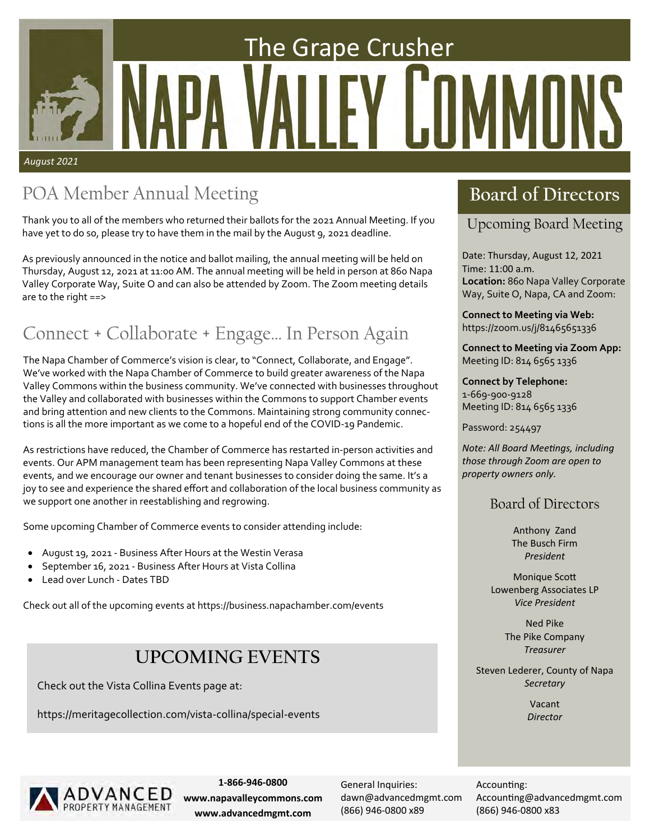# The Grape Crusher / II *August 2021*

# POA Member Annual Meeting **Board of Directors**

Thank you to all of the members who returned their ballots for the 2021 Annual Meeting. If you have yet to do so, please try to have them in the mail by the August 9, 2021 deadline.

As previously announced in the notice and ballot mailing, the annual meeting will be held on Thursday, August 12, 2021 at 11:00 AM. The annual meeting will be held in person at 860 Napa Valley Corporate Way, Suite O and can also be attended by Zoom. The Zoom meeting details are to the right ==>

# Connect + Collaborate + Engage… In Person Again

The Napa Chamber of Commerce's vision is clear, to "Connect, Collaborate, and Engage". We've worked with the Napa Chamber of Commerce to build greater awareness of the Napa Valley Commons within the business community. We've connected with businesses throughout the Valley and collaborated with businesses within the Commons to support Chamber events and bring attention and new clients to the Commons. Maintaining strong community connec‐ tions is all the more important as we come to a hopeful end of the COVID‐19 Pandemic.

As restrictions have reduced, the Chamber of Commerce has restarted in‐person activities and events. Our APM management team has been representing Napa Valley Commons at these events, and we encourage our owner and tenant businesses to consider doing the same. It's a joy to see and experience the shared effort and collaboration of the local business community as we support one another in reestablishing and regrowing.

Some upcoming Chamber of Commerce events to consider attending include:

- August 19, 2021 ‐ Business After Hours at the Westin Verasa
- September 16, 2021 ‐ Business After Hours at Vista Collina
- Lead over Lunch ‐ Dates TBD

Check out all of the upcoming events at https://business.napachamber.com/events

# **UPCOMING EVENTS**

Check out the Vista Collina Events page at:

https://meritagecollection.com/vista‐collina/special‐events

# Upcoming Board Meeting

Date: Thursday, August 12, 2021 Time: 11:00 a.m. **Location:** 860 Napa Valley Corporate Way, Suite O, Napa, CA and Zoom:

**Connect to Meeting via Web:**  https://zoom.us/j/81465651336

**Connect to Meeting via Zoom App:**  Meeting ID: 814 6565 1336

**Connect by Telephone:**  1‐669‐900‐9128 Meeting ID: 814 6565 1336

Password: 254497

*Note: All Board MeeƟngs, including those through Zoom are open to property owners only.* 

# Board of Directors

Anthony Zand The Busch Firm *President* 

**Monique Scott** Lowenberg Associates LP *Vice President*

> Ned Pike The Pike Company *Treasurer*

Steven Lederer, County of Napa *Secretary* 

> Vacant *Director*



**1‐866‐946‐0800 www.napavalleycommons.com www.advancedmgmt.com**

General Inquiries: dawn@advancedmgmt.com (866) 946‐0800 x89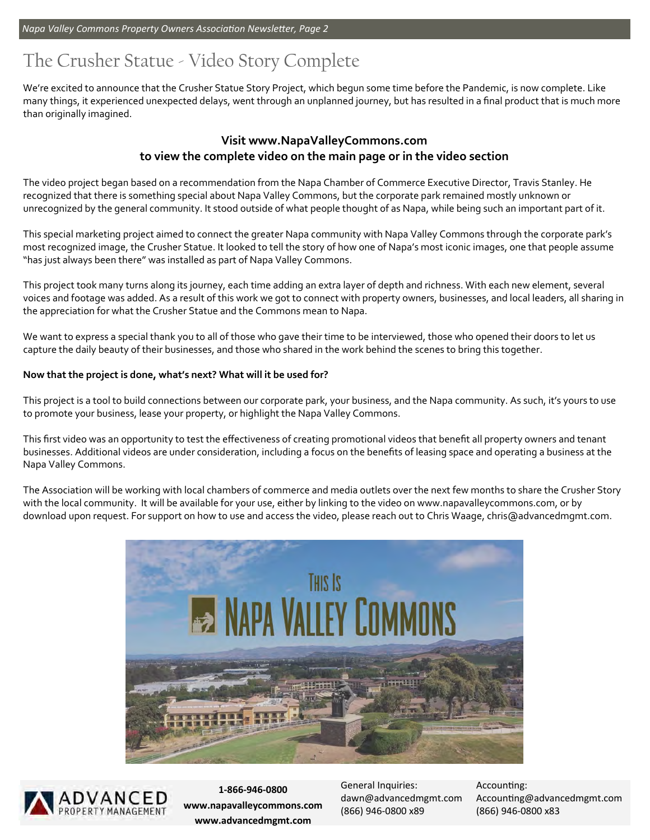# The Crusher Statue - Video Story Complete

We're excited to announce that the Crusher Statue Story Project, which begun some time before the Pandemic, is now complete. Like many things, it experienced unexpected delays, went through an unplanned journey, but has resulted in a final product that is much more than originally imagined.

## **Visit www.NapaValleyCommons.com to view the complete video on the main page or in the video section**

The video project began based on a recommendation from the Napa Chamber of Commerce Executive Director, Travis Stanley. He recognized that there is something special about Napa Valley Commons, but the corporate park remained mostly unknown or unrecognized by the general community. It stood outside of what people thought of as Napa, while being such an important part of it.

This special marketing project aimed to connect the greater Napa community with Napa Valley Commons through the corporate park's most recognized image, the Crusher Statue. It looked to tell the story of how one of Napa's most iconic images, one that people assume "has just always been there" was installed as part of Napa Valley Commons.

This project took many turns along its journey, each time adding an extra layer of depth and richness. With each new element, several voices and footage was added. As a result of this work we got to connect with property owners, businesses, and local leaders, all sharing in the appreciation for what the Crusher Statue and the Commons mean to Napa.

We want to express a special thank you to all of those who gave their time to be interviewed, those who opened their doors to let us capture the daily beauty of their businesses, and those who shared in the work behind the scenes to bring this together.

### **Now that the project is done, what's next? What will it be used for?**

This project is a tool to build connections between our corporate park, your business, and the Napa community. As such, it's yours to use to promote your business, lease your property, or highlight the Napa Valley Commons.

This first video was an opportunity to test the effectiveness of creating promotional videos that benefit all property owners and tenant businesses. Additional videos are under consideration, including a focus on the benefits of leasing space and operating a business at the Napa Valley Commons.

The Association will be working with local chambers of commerce and media outlets over the next few months to share the Crusher Story with the local community. It will be available for your use, either by linking to the video on www.napavalleycommons.com, or by download upon request. For support on how to use and access the video, please reach out to Chris Waage, chris@advancedmgmt.com.





**1‐866‐946‐0800 www.napavalleycommons.com www.advancedmgmt.com**

General Inquiries: dawn@advancedmgmt.com (866) 946‐0800 x89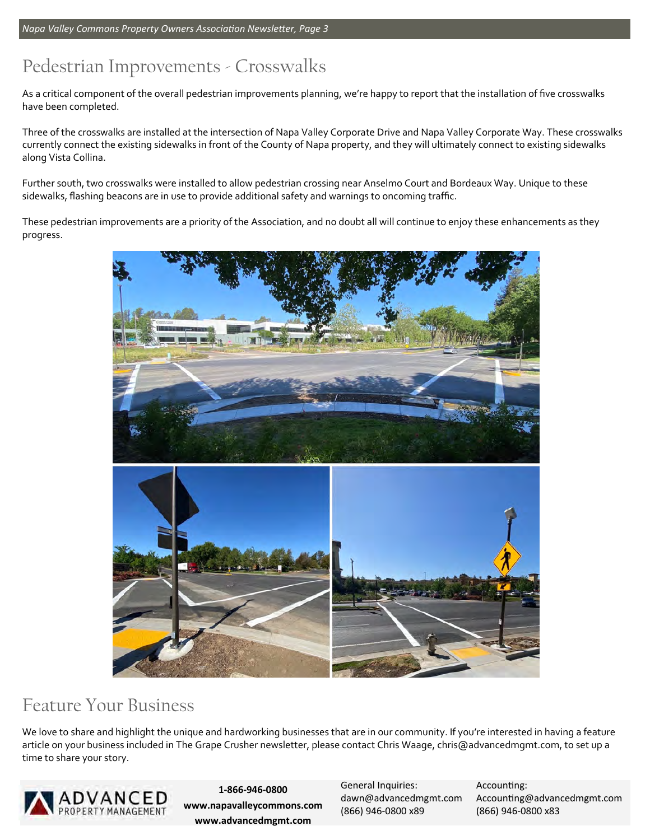# Pedestrian Improvements - Crosswalks

As a critical component of the overall pedestrian improvements planning, we're happy to report that the installation of five crosswalks have been completed.

Three of the crosswalks are installed at the intersection of Napa Valley Corporate Drive and Napa Valley Corporate Way. These crosswalks currently connect the existing sidewalks in front of the County of Napa property, and they will ultimately connect to existing sidewalks along Vista Collina.

Further south, two crosswalks were installed to allow pedestrian crossing near Anselmo Court and Bordeaux Way. Unique to these sidewalks, flashing beacons are in use to provide additional safety and warnings to oncoming traffic.

These pedestrian improvements are a priority of the Association, and no doubt all will continue to enjoy these enhancements as they progress.



# Feature Your Business

We love to share and highlight the unique and hardworking businesses that are in our community. If you're interested in having a feature article on your business included in The Grape Crusher newsletter, please contact Chris Waage, chris@advancedmgmt.com, to set up a time to share your story.



**1‐866‐946‐0800 www.napavalleycommons.com www.advancedmgmt.com**

General Inquiries: dawn@advancedmgmt.com (866) 946‐0800 x89